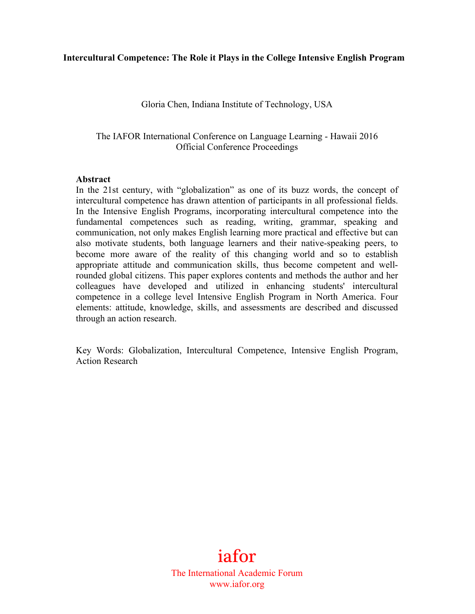#### **Intercultural Competence: The Role it Plays in the College Intensive English Program**

Gloria Chen, Indiana Institute of Technology, USA

The IAFOR International Conference on Language Learning - Hawaii 2016 Official Conference Proceedings

#### **Abstract**

In the 21st century, with "globalization" as one of its buzz words, the concept of intercultural competence has drawn attention of participants in all professional fields. In the Intensive English Programs, incorporating intercultural competence into the fundamental competences such as reading, writing, grammar, speaking and communication, not only makes English learning more practical and effective but can also motivate students, both language learners and their native-speaking peers, to become more aware of the reality of this changing world and so to establish appropriate attitude and communication skills, thus become competent and wellrounded global citizens. This paper explores contents and methods the author and her colleagues have developed and utilized in enhancing students' intercultural competence in a college level Intensive English Program in North America. Four elements: attitude, knowledge, skills, and assessments are described and discussed through an action research.

Key Words: Globalization, Intercultural Competence, Intensive English Program, Action Research

> iafor The International Academic Forum www.iafor.org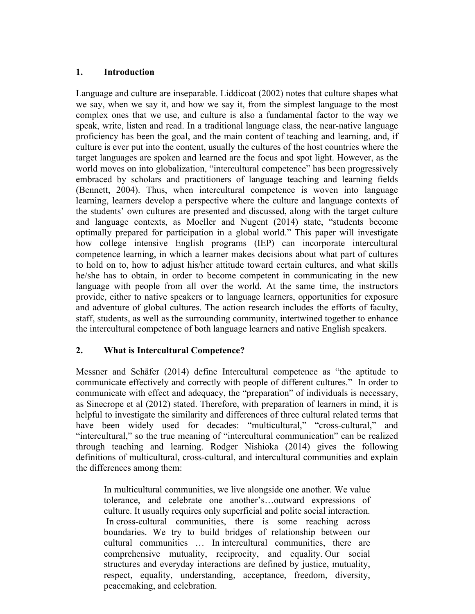### **1. Introduction**

Language and culture are inseparable. Liddicoat (2002) notes that culture shapes what we say, when we say it, and how we say it, from the simplest language to the most complex ones that we use, and culture is also a fundamental factor to the way we speak, write, listen and read. In a traditional language class, the near-native language proficiency has been the goal, and the main content of teaching and learning, and, if culture is ever put into the content, usually the cultures of the host countries where the target languages are spoken and learned are the focus and spot light. However, as the world moves on into globalization, "intercultural competence" has been progressively embraced by scholars and practitioners of language teaching and learning fields (Bennett, 2004). Thus, when intercultural competence is woven into language learning, learners develop a perspective where the culture and language contexts of the students' own cultures are presented and discussed, along with the target culture and language contexts, as Moeller and Nugent (2014) state, "students become optimally prepared for participation in a global world." This paper will investigate how college intensive English programs (IEP) can incorporate intercultural competence learning, in which a learner makes decisions about what part of cultures to hold on to, how to adjust his/her attitude toward certain cultures, and what skills he/she has to obtain, in order to become competent in communicating in the new language with people from all over the world. At the same time, the instructors provide, either to native speakers or to language learners, opportunities for exposure and adventure of global cultures. The action research includes the efforts of faculty, staff, students, as well as the surrounding community, intertwined together to enhance the intercultural competence of both language learners and native English speakers.

## **2. What is Intercultural Competence?**

Messner and Schäfer (2014) define Intercultural competence as "the aptitude to communicate effectively and correctly with people of different cultures." In order to communicate with effect and adequacy, the "preparation" of individuals is necessary, as Sinecrope et al (2012) stated. Therefore, with preparation of learners in mind, it is helpful to investigate the similarity and differences of three cultural related terms that have been widely used for decades: "multicultural," "cross-cultural," and "intercultural," so the true meaning of "intercultural communication" can be realized through teaching and learning. Rodger Nishioka (2014) gives the following definitions of multicultural, cross-cultural, and intercultural communities and explain the differences among them:

In multicultural communities, we live alongside one another. We value tolerance, and celebrate one another's…outward expressions of culture. It usually requires only superficial and polite social interaction. In cross-cultural communities, there is some reaching across boundaries. We try to build bridges of relationship between our cultural communities … In intercultural communities, there are comprehensive mutuality, reciprocity, and equality. Our social structures and everyday interactions are defined by justice, mutuality, respect, equality, understanding, acceptance, freedom, diversity, peacemaking, and celebration.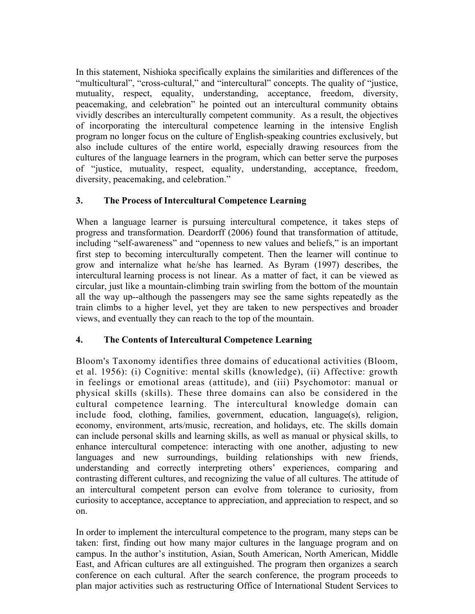In this statement, Nishioka specifically explains the similarities and differences of the "multicultural", "cross-cultural," and "intercultural" concepts. The quality of "justice, mutuality, respect, equality, understanding, acceptance, freedom, diversity, peacemaking, and celebration" he pointed out an intercultural community obtains vividly describes an interculturally competent community. As a result, the objectives of incorporating the intercultural competence learning in the intensive English program no longer focus on the culture of English-speaking countries exclusively, but also include cultures of the entire world, especially drawing resources from the cultures of the language learners in the program, which can better serve the purposes of "justice, mutuality, respect, equality, understanding, acceptance, freedom, diversity, peacemaking, and celebration."

# **3. The Process of Intercultural Competence Learning**

When a language learner is pursuing intercultural competence, it takes steps of progress and transformation. Deardorff (2006) found that transformation of attitude, including "self-awareness" and "openness to new values and beliefs," is an important first step to becoming interculturally competent. Then the learner will continue to grow and internalize what he/she has learned. As Byram (1997) describes, the intercultural learning process is not linear. As a matter of fact, it can be viewed as circular, just like a mountain-climbing train swirling from the bottom of the mountain all the way up--although the passengers may see the same sights repeatedly as the train climbs to a higher level, yet they are taken to new perspectives and broader views, and eventually they can reach to the top of the mountain.

# **4. The Contents of Intercultural Competence Learning**

Bloom's Taxonomy identifies three domains of educational activities (Bloom, et al. 1956): (i) Cognitive: mental skills (knowledge), (ii) Affective: growth in feelings or emotional areas (attitude), and (iii) Psychomotor: manual or physical skills (skills). These three domains can also be considered in the cultural competence learning. The intercultural knowledge domain can include food, clothing, families, government, education, language(s), religion, economy, environment, arts/music, recreation, and holidays, etc. The skills domain can include personal skills and learning skills, as well as manual or physical skills, to enhance intercultural competence: interacting with one another, adjusting to new languages and new surroundings, building relationships with new friends, understanding and correctly interpreting others' experiences, comparing and contrasting different cultures, and recognizing the value of all cultures. The attitude of an intercultural competent person can evolve from tolerance to curiosity, from curiosity to acceptance, acceptance to appreciation, and appreciation to respect, and so on.

In order to implement the intercultural competence to the program, many steps can be taken: first, finding out how many major cultures in the language program and on campus. In the author's institution, Asian, South American, North American, Middle East, and African cultures are all extinguished. The program then organizes a search conference on each cultural. After the search conference, the program proceeds to plan major activities such as restructuring Office of International Student Services to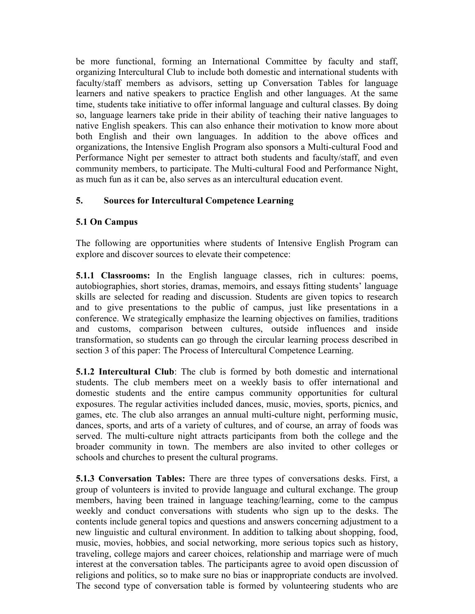be more functional, forming an International Committee by faculty and staff, organizing Intercultural Club to include both domestic and international students with faculty/staff members as advisors, setting up Conversation Tables for language learners and native speakers to practice English and other languages. At the same time, students take initiative to offer informal language and cultural classes. By doing so, language learners take pride in their ability of teaching their native languages to native English speakers. This can also enhance their motivation to know more about both English and their own languages. In addition to the above offices and organizations, the Intensive English Program also sponsors a Multi-cultural Food and Performance Night per semester to attract both students and faculty/staff, and even community members, to participate. The Multi-cultural Food and Performance Night, as much fun as it can be, also serves as an intercultural education event.

# **5. Sources for Intercultural Competence Learning**

## **5.1 On Campus**

The following are opportunities where students of Intensive English Program can explore and discover sources to elevate their competence:

**5.1.1 Classrooms:** In the English language classes, rich in cultures: poems, autobiographies, short stories, dramas, memoirs, and essays fitting students' language skills are selected for reading and discussion. Students are given topics to research and to give presentations to the public of campus, just like presentations in a conference. We strategically emphasize the learning objectives on families, traditions and customs, comparison between cultures, outside influences and inside transformation, so students can go through the circular learning process described in section 3 of this paper: The Process of Intercultural Competence Learning.

**5.1.2 Intercultural Club**: The club is formed by both domestic and international students. The club members meet on a weekly basis to offer international and domestic students and the entire campus community opportunities for cultural exposures. The regular activities included dances, music, movies, sports, picnics, and games, etc. The club also arranges an annual multi-culture night, performing music, dances, sports, and arts of a variety of cultures, and of course, an array of foods was served. The multi-culture night attracts participants from both the college and the broader community in town. The members are also invited to other colleges or schools and churches to present the cultural programs.

**5.1.3 Conversation Tables:** There are three types of conversations desks. First, a group of volunteers is invited to provide language and cultural exchange. The group members, having been trained in language teaching/learning, come to the campus weekly and conduct conversations with students who sign up to the desks. The contents include general topics and questions and answers concerning adjustment to a new linguistic and cultural environment. In addition to talking about shopping, food, music, movies, hobbies, and social networking, more serious topics such as history, traveling, college majors and career choices, relationship and marriage were of much interest at the conversation tables. The participants agree to avoid open discussion of religions and politics, so to make sure no bias or inappropriate conducts are involved. The second type of conversation table is formed by volunteering students who are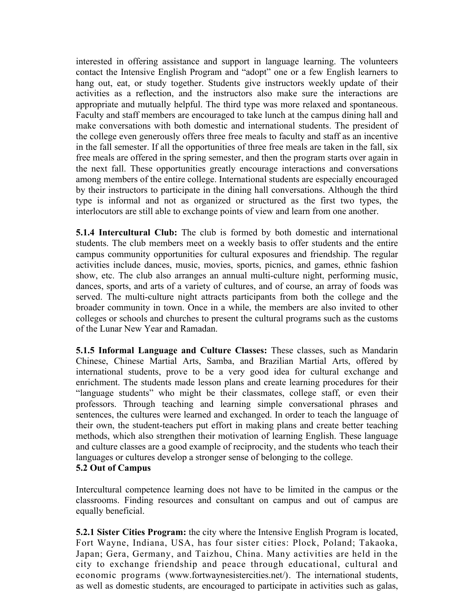interested in offering assistance and support in language learning. The volunteers contact the Intensive English Program and "adopt" one or a few English learners to hang out, eat, or study together. Students give instructors weekly update of their activities as a reflection, and the instructors also make sure the interactions are appropriate and mutually helpful. The third type was more relaxed and spontaneous. Faculty and staff members are encouraged to take lunch at the campus dining hall and make conversations with both domestic and international students. The president of the college even generously offers three free meals to faculty and staff as an incentive in the fall semester. If all the opportunities of three free meals are taken in the fall, six free meals are offered in the spring semester, and then the program starts over again in the next fall. These opportunities greatly encourage interactions and conversations among members of the entire college. International students are especially encouraged by their instructors to participate in the dining hall conversations. Although the third type is informal and not as organized or structured as the first two types, the interlocutors are still able to exchange points of view and learn from one another.

**5.1.4 Intercultural Club:** The club is formed by both domestic and international students. The club members meet on a weekly basis to offer students and the entire campus community opportunities for cultural exposures and friendship. The regular activities include dances, music, movies, sports, picnics, and games, ethnic fashion show, etc. The club also arranges an annual multi-culture night, performing music, dances, sports, and arts of a variety of cultures, and of course, an array of foods was served. The multi-culture night attracts participants from both the college and the broader community in town. Once in a while, the members are also invited to other colleges or schools and churches to present the cultural programs such as the customs of the Lunar New Year and Ramadan.

**5.1.5 Informal Language and Culture Classes:** These classes, such as Mandarin Chinese, Chinese Martial Arts, Samba, and Brazilian Martial Arts, offered by international students, prove to be a very good idea for cultural exchange and enrichment. The students made lesson plans and create learning procedures for their "language students" who might be their classmates, college staff, or even their professors. Through teaching and learning simple conversational phrases and sentences, the cultures were learned and exchanged. In order to teach the language of their own, the student-teachers put effort in making plans and create better teaching methods, which also strengthen their motivation of learning English. These language and culture classes are a good example of reciprocity, and the students who teach their languages or cultures develop a stronger sense of belonging to the college. **5.2 Out of Campus**

Intercultural competence learning does not have to be limited in the campus or the classrooms. Finding resources and consultant on campus and out of campus are equally beneficial.

**5.2.1 Sister Cities Program:** the city where the Intensive English Program is located, Fort Wayne, Indiana, USA, has four sister cities: Plock, Poland; Takaoka, Japan; Gera, Germany, and Taizhou, China. Many activities are held in the city to exchange friendship and peace through educational, cultural and economic programs (www.fortwaynesistercities.net/). The international students, as well as domestic students, are encouraged to participate in activities such as galas,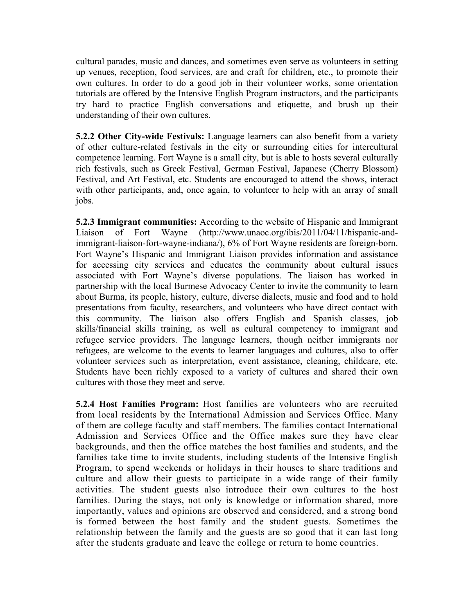cultural parades, music and dances, and sometimes even serve as volunteers in setting up venues, reception, food services, are and craft for children, etc., to promote their own cultures. In order to do a good job in their volunteer works, some orientation tutorials are offered by the Intensive English Program instructors, and the participants try hard to practice English conversations and etiquette, and brush up their understanding of their own cultures.

**5.2.2 Other City-wide Festivals:** Language learners can also benefit from a variety of other culture-related festivals in the city or surrounding cities for intercultural competence learning. Fort Wayne is a small city, but is able to hosts several culturally rich festivals, such as Greek Festival, German Festival, Japanese (Cherry Blossom) Festival, and Art Festival, etc. Students are encouraged to attend the shows, interact with other participants, and, once again, to volunteer to help with an array of small jobs.

**5.2.3 Immigrant communities:** According to the website of Hispanic and Immigrant Liaison of Fort Wayne (http://www.unaoc.org/ibis/2011/04/11/hispanic-andimmigrant-liaison-fort-wayne-indiana/), 6% of Fort Wayne residents are foreign-born. Fort Wayne's Hispanic and Immigrant Liaison provides information and assistance for accessing city services and educates the community about cultural issues associated with Fort Wayne's diverse populations. The liaison has worked in partnership with the local Burmese Advocacy Center to invite the community to learn about Burma, its people, history, culture, diverse dialects, music and food and to hold presentations from faculty, researchers, and volunteers who have direct contact with this community. The liaison also offers English and Spanish classes, job skills/financial skills training, as well as cultural competency to immigrant and refugee service providers. The language learners, though neither immigrants nor refugees, are welcome to the events to learner languages and cultures, also to offer volunteer services such as interpretation, event assistance, cleaning, childcare, etc. Students have been richly exposed to a variety of cultures and shared their own cultures with those they meet and serve.

**5.2.4 Host Families Program:** Host families are volunteers who are recruited from local residents by the International Admission and Services Office. Many of them are college faculty and staff members. The families contact International Admission and Services Office and the Office makes sure they have clear backgrounds, and then the office matches the host families and students, and the families take time to invite students, including students of the Intensive English Program, to spend weekends or holidays in their houses to share traditions and culture and allow their guests to participate in a wide range of their family activities. The student guests also introduce their own cultures to the host families. During the stays, not only is knowledge or information shared, more importantly, values and opinions are observed and considered, and a strong bond is formed between the host family and the student guests. Sometimes the relationship between the family and the guests are so good that it can last long after the students graduate and leave the college or return to home countries.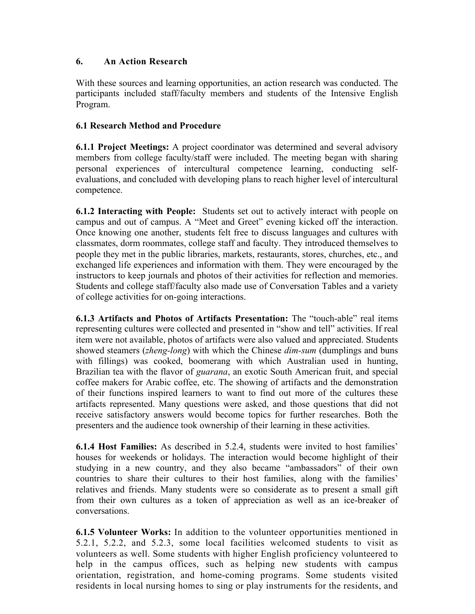## **6. An Action Research**

With these sources and learning opportunities, an action research was conducted. The participants included staff/faculty members and students of the Intensive English Program.

## **6.1 Research Method and Procedure**

**6.1.1 Project Meetings:** A project coordinator was determined and several advisory members from college faculty/staff were included. The meeting began with sharing personal experiences of intercultural competence learning, conducting selfevaluations, and concluded with developing plans to reach higher level of intercultural competence.

**6.1.2 Interacting with People:** Students set out to actively interact with people on campus and out of campus. A "Meet and Greet" evening kicked off the interaction. Once knowing one another, students felt free to discuss languages and cultures with classmates, dorm roommates, college staff and faculty. They introduced themselves to people they met in the public libraries, markets, restaurants, stores, churches, etc., and exchanged life experiences and information with them. They were encouraged by the instructors to keep journals and photos of their activities for reflection and memories. Students and college staff/faculty also made use of Conversation Tables and a variety of college activities for on-going interactions.

**6.1.3 Artifacts and Photos of Artifacts Presentation:** The "touch-able" real items representing cultures were collected and presented in "show and tell" activities. If real item were not available, photos of artifacts were also valued and appreciated. Students showed steamers (*zheng-long*) with which the Chinese *dim-sum* (dumplings and buns with fillings) was cooked, boomerang with which Australian used in hunting, Brazilian tea with the flavor of *guarana*, an exotic South American fruit, and special coffee makers for Arabic coffee, etc. The showing of artifacts and the demonstration of their functions inspired learners to want to find out more of the cultures these artifacts represented. Many questions were asked, and those questions that did not receive satisfactory answers would become topics for further researches. Both the presenters and the audience took ownership of their learning in these activities.

**6.1.4 Host Families:** As described in 5.2.4, students were invited to host families' houses for weekends or holidays. The interaction would become highlight of their studying in a new country, and they also became "ambassadors" of their own countries to share their cultures to their host families, along with the families' relatives and friends. Many students were so considerate as to present a small gift from their own cultures as a token of appreciation as well as an ice-breaker of conversations.

**6.1.5 Volunteer Works:** In addition to the volunteer opportunities mentioned in 5.2.1, 5.2.2, and 5.2.3, some local facilities welcomed students to visit as volunteers as well. Some students with higher English proficiency volunteered to help in the campus offices, such as helping new students with campus orientation, registration, and home-coming programs. Some students visited residents in local nursing homes to sing or play instruments for the residents, and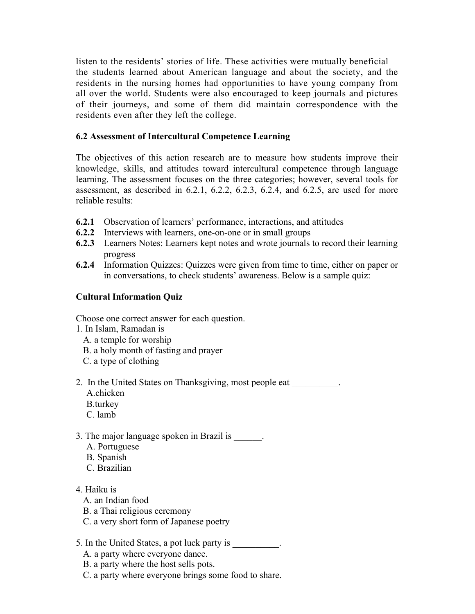listen to the residents' stories of life. These activities were mutually beneficial the students learned about American language and about the society, and the residents in the nursing homes had opportunities to have young company from all over the world. Students were also encouraged to keep journals and pictures of their journeys, and some of them did maintain correspondence with the residents even after they left the college.

## **6.2 Assessment of Intercultural Competence Learning**

The objectives of this action research are to measure how students improve their knowledge, skills, and attitudes toward intercultural competence through language learning. The assessment focuses on the three categories; however, several tools for assessment, as described in 6.2.1, 6.2.2, 6.2.3, 6.2.4, and 6.2.5, are used for more reliable results:

- **6.2.1** Observation of learners' performance, interactions, and attitudes
- **6.2.2** Interviews with learners, one-on-one or in small groups
- **6.2.3** Learners Notes: Learners kept notes and wrote journals to record their learning progress
- **6.2.4** Information Quizzes: Quizzes were given from time to time, either on paper or in conversations, to check students' awareness. Below is a sample quiz:

## **Cultural Information Quiz**

Choose one correct answer for each question.

- 1. In Islam, Ramadan is
	- A. a temple for worship
	- B. a holy month of fasting and prayer
	- C. a type of clothing
- 2. In the United States on Thanksgiving, most people eat \_\_\_\_\_\_\_\_\_\_. A.chicken
	- B.turkey
	- C. lamb
- 3. The major language spoken in Brazil is  $\qquad \qquad$ .
	- A. Portuguese
	- B. Spanish
	- C. Brazilian
- 4. Haiku is
	- A. an Indian food
	- B. a Thai religious ceremony
	- C. a very short form of Japanese poetry
- 5. In the United States, a pot luck party is
	- A. a party where everyone dance.
	- B. a party where the host sells pots.
	- C. a party where everyone brings some food to share.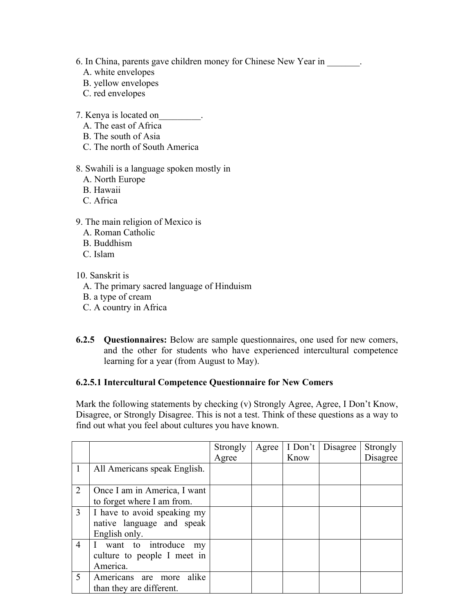- 6. In China, parents gave children money for Chinese New Year in
	- A. white envelopes
	- B. yellow envelopes
	- C. red envelopes
- 7. Kenya is located on\_\_\_\_\_\_\_\_\_.
	- A. The east of Africa
	- B. The south of Asia
	- C. The north of South America
- 8. Swahili is a language spoken mostly in
	- A. North Europe
	- B. Hawaii
	- C. Africa
- 9. The main religion of Mexico is
	- A. Roman Catholic
	- B. Buddhism
	- C. Islam
- 10. Sanskrit is
	- A. The primary sacred language of Hinduism
	- B. a type of cream
	- C. A country in Africa
- **6.2.5 Questionnaires:** Below are sample questionnaires, one used for new comers, and the other for students who have experienced intercultural competence learning for a year (from August to May).

#### **6.2.5.1 Intercultural Competence Questionnaire for New Comers**

Mark the following statements by checking (v) Strongly Agree, Agree, I Don't Know, Disagree, or Strongly Disagree. This is not a test. Think of these questions as a way to find out what you feel about cultures you have known.

|                |                              | Strongly | Agree | I Don't | Disagree | Strongly |
|----------------|------------------------------|----------|-------|---------|----------|----------|
|                |                              | Agree    |       | Know    |          | Disagree |
| 1              | All Americans speak English. |          |       |         |          |          |
|                |                              |          |       |         |          |          |
| 2              | Once I am in America, I want |          |       |         |          |          |
|                | to forget where I am from.   |          |       |         |          |          |
| 3              | I have to avoid speaking my  |          |       |         |          |          |
|                | native language and speak    |          |       |         |          |          |
|                | English only.                |          |       |         |          |          |
| $\overline{4}$ | I want to introduce<br>my    |          |       |         |          |          |
|                | culture to people I meet in  |          |       |         |          |          |
|                | America.                     |          |       |         |          |          |
| 5              | alike<br>Americans are more  |          |       |         |          |          |
|                | than they are different.     |          |       |         |          |          |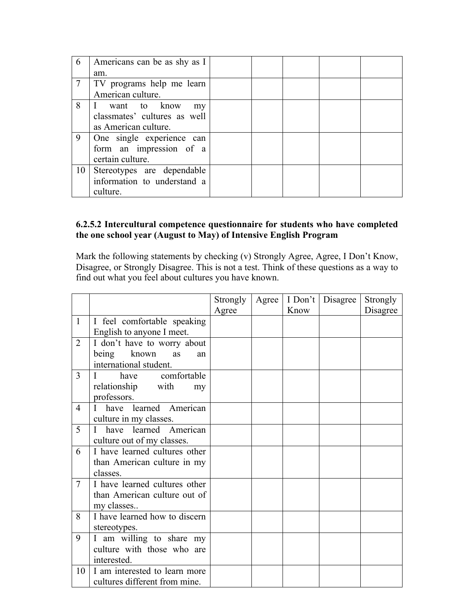| 6      | Americans can be as shy as I |  |  |  |
|--------|------------------------------|--|--|--|
|        | am.                          |  |  |  |
| $\tau$ | TV programs help me learn    |  |  |  |
|        | American culture.            |  |  |  |
| 8      | I want to know<br>my         |  |  |  |
|        | classmates' cultures as well |  |  |  |
|        | as American culture.         |  |  |  |
| 9      | One single experience can    |  |  |  |
|        | form an impression of a      |  |  |  |
|        | certain culture.             |  |  |  |
| 10     | Stereotypes are dependable   |  |  |  |
|        | information to understand a  |  |  |  |
|        | culture.                     |  |  |  |

### **6.2.5.2 Intercultural competence questionnaire for students who have completed the one school year (August to May) of Intensive English Program**

Mark the following statements by checking (v) Strongly Agree, Agree, I Don't Know, Disagree, or Strongly Disagree. This is not a test. Think of these questions as a way to find out what you feel about cultures you have known.

|                |                               | Strongly | Agree | I Don't | Disagree | Strongly |
|----------------|-------------------------------|----------|-------|---------|----------|----------|
|                |                               | Agree    |       | Know    |          | Disagree |
| $\mathbf{1}$   | I feel comfortable speaking   |          |       |         |          |          |
|                | English to anyone I meet.     |          |       |         |          |          |
| $\overline{2}$ | I don't have to worry about   |          |       |         |          |          |
|                | being known<br>as<br>an       |          |       |         |          |          |
|                | international student.        |          |       |         |          |          |
| 3              | comfortable<br>have<br>L      |          |       |         |          |          |
|                | relationship with<br>my       |          |       |         |          |          |
|                | professors.                   |          |       |         |          |          |
| 4              | have learned American         |          |       |         |          |          |
|                | culture in my classes.        |          |       |         |          |          |
| 5              | have learned American<br>Ι    |          |       |         |          |          |
|                | culture out of my classes.    |          |       |         |          |          |
| 6              | I have learned cultures other |          |       |         |          |          |
|                | than American culture in my   |          |       |         |          |          |
|                | classes.                      |          |       |         |          |          |
| $\tau$         | I have learned cultures other |          |       |         |          |          |
|                | than American culture out of  |          |       |         |          |          |
|                | my classes                    |          |       |         |          |          |
| 8              | I have learned how to discern |          |       |         |          |          |
|                | stereotypes.                  |          |       |         |          |          |
| 9              | I am willing to share my      |          |       |         |          |          |
|                | culture with those who are    |          |       |         |          |          |
|                | interested.                   |          |       |         |          |          |
| 10             | I am interested to learn more |          |       |         |          |          |
|                | cultures different from mine. |          |       |         |          |          |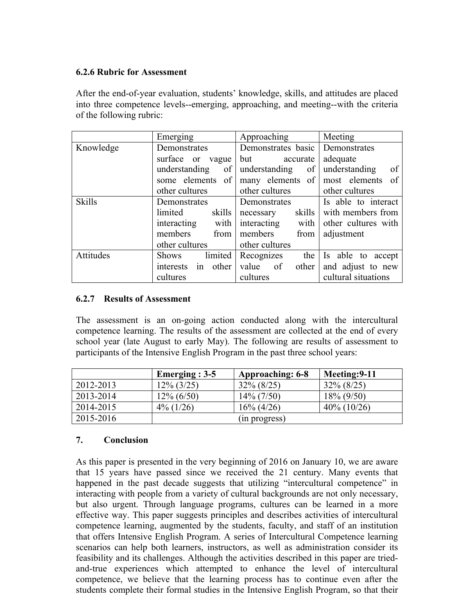#### **6.2.6 Rubric for Assessment**

After the end-of-year evaluation, students' knowledge, skills, and attitudes are placed into three competence levels--emerging, approaching, and meeting--with the criteria of the following rubric:

|               | Emerging                 | Approaching         | Meeting             |  |
|---------------|--------------------------|---------------------|---------------------|--|
| Knowledge     | Demonstrates             | Demonstrates basic  | Demonstrates        |  |
|               | surface or<br>vague      | but<br>accurate     | adequate            |  |
|               | understanding<br>of      | understanding<br>of | understanding<br>of |  |
|               | some elements<br>of      | many elements of    | most elements of    |  |
|               | other cultures           | other cultures      | other cultures      |  |
| <b>Skills</b> | Demonstrates             | Demonstrates        | Is able to interact |  |
|               | skills<br>limited        | skills<br>necessary | with members from   |  |
|               | with<br>interacting      | interacting<br>with | other cultures with |  |
|               | members<br>from          | members<br>from     | adjustment          |  |
|               | other cultures           | other cultures      |                     |  |
| Attitudes     | limited<br><b>Shows</b>  | the<br>Recognizes   | Is able to accept   |  |
|               | other<br>in<br>interests | value of<br>other   | and adjust to new   |  |
|               | cultures                 | cultures            | cultural situations |  |

## **6.2.7 Results of Assessment**

The assessment is an on-going action conducted along with the intercultural competence learning. The results of the assessment are collected at the end of every school year (late August to early May). The following are results of assessment to participants of the Intensive English Program in the past three school years:

|           | Emerging $: 3-5$ | Approaching: 6-8 | Meeting: 9-11  |
|-----------|------------------|------------------|----------------|
| 2012-2013 | $12\%$ (3/25)    | $32\% (8/25)$    | $32\% (8/25)$  |
| 2013-2014 | $12\% (6/50)$    | $14\% (7/50)$    | $18\% (9/50)$  |
| 2014-2015 | $4\%$ (1/26)     | $16\% (4/26)$    | $40\% (10/26)$ |
| 2015-2016 |                  | (in progress)    |                |

## **7. Conclusion**

As this paper is presented in the very beginning of 2016 on January 10, we are aware that 15 years have passed since we received the 21 century. Many events that happened in the past decade suggests that utilizing "intercultural competence" in interacting with people from a variety of cultural backgrounds are not only necessary, but also urgent. Through language programs, cultures can be learned in a more effective way. This paper suggests principles and describes activities of intercultural competence learning, augmented by the students, faculty, and staff of an institution that offers Intensive English Program. A series of Intercultural Competence learning scenarios can help both learners, instructors, as well as administration consider its feasibility and its challenges. Although the activities described in this paper are triedand-true experiences which attempted to enhance the level of intercultural competence, we believe that the learning process has to continue even after the students complete their formal studies in the Intensive English Program, so that their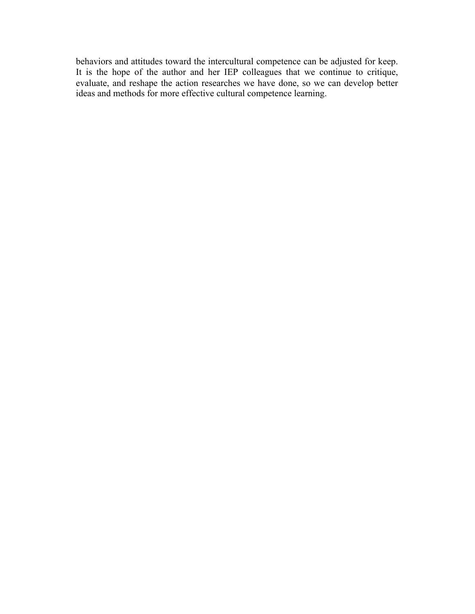behaviors and attitudes toward the intercultural competence can be adjusted for keep. It is the hope of the author and her IEP colleagues that we continue to critique, evaluate, and reshape the action researches we have done, so we can develop better ideas and methods for more effective cultural competence learning.